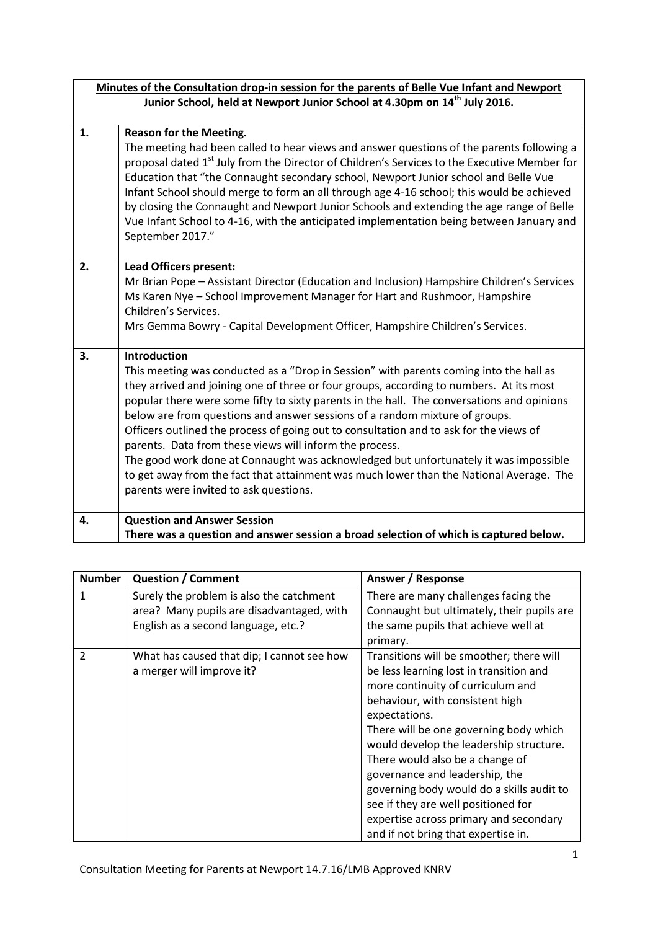|    | Minutes of the Consultation drop-in session for the parents of Belle Vue Infant and Newport                                                                                                                                                                                                                                                                                                                                                                                                                                                                                                                                                                                                                                                                             |  |  |  |
|----|-------------------------------------------------------------------------------------------------------------------------------------------------------------------------------------------------------------------------------------------------------------------------------------------------------------------------------------------------------------------------------------------------------------------------------------------------------------------------------------------------------------------------------------------------------------------------------------------------------------------------------------------------------------------------------------------------------------------------------------------------------------------------|--|--|--|
|    | Junior School, held at Newport Junior School at 4.30pm on 14 <sup>th</sup> July 2016.                                                                                                                                                                                                                                                                                                                                                                                                                                                                                                                                                                                                                                                                                   |  |  |  |
|    |                                                                                                                                                                                                                                                                                                                                                                                                                                                                                                                                                                                                                                                                                                                                                                         |  |  |  |
| 1. | <b>Reason for the Meeting.</b><br>The meeting had been called to hear views and answer questions of the parents following a<br>proposal dated 1 <sup>st</sup> July from the Director of Children's Services to the Executive Member for<br>Education that "the Connaught secondary school, Newport Junior school and Belle Vue<br>Infant School should merge to form an all through age 4-16 school; this would be achieved<br>by closing the Connaught and Newport Junior Schools and extending the age range of Belle<br>Vue Infant School to 4-16, with the anticipated implementation being between January and<br>September 2017."                                                                                                                                 |  |  |  |
| 2. | <b>Lead Officers present:</b><br>Mr Brian Pope - Assistant Director (Education and Inclusion) Hampshire Children's Services<br>Ms Karen Nye - School Improvement Manager for Hart and Rushmoor, Hampshire<br>Children's Services.<br>Mrs Gemma Bowry - Capital Development Officer, Hampshire Children's Services.                                                                                                                                                                                                                                                                                                                                                                                                                                                      |  |  |  |
| 3. | <b>Introduction</b><br>This meeting was conducted as a "Drop in Session" with parents coming into the hall as<br>they arrived and joining one of three or four groups, according to numbers. At its most<br>popular there were some fifty to sixty parents in the hall. The conversations and opinions<br>below are from questions and answer sessions of a random mixture of groups.<br>Officers outlined the process of going out to consultation and to ask for the views of<br>parents. Data from these views will inform the process.<br>The good work done at Connaught was acknowledged but unfortunately it was impossible<br>to get away from the fact that attainment was much lower than the National Average. The<br>parents were invited to ask questions. |  |  |  |
| 4. | <b>Question and Answer Session</b>                                                                                                                                                                                                                                                                                                                                                                                                                                                                                                                                                                                                                                                                                                                                      |  |  |  |
|    | There was a question and answer session a broad selection of which is captured below.                                                                                                                                                                                                                                                                                                                                                                                                                                                                                                                                                                                                                                                                                   |  |  |  |

| <b>Number</b>  | <b>Question / Comment</b>                  | Answer / Response                          |
|----------------|--------------------------------------------|--------------------------------------------|
| 1              | Surely the problem is also the catchment   | There are many challenges facing the       |
|                | area? Many pupils are disadvantaged, with  | Connaught but ultimately, their pupils are |
|                | English as a second language, etc.?        | the same pupils that achieve well at       |
|                |                                            | primary.                                   |
| $\overline{2}$ | What has caused that dip; I cannot see how | Transitions will be smoother; there will   |
|                | a merger will improve it?                  | be less learning lost in transition and    |
|                |                                            | more continuity of curriculum and          |
|                |                                            | behaviour, with consistent high            |
|                |                                            | expectations.                              |
|                |                                            | There will be one governing body which     |
|                |                                            | would develop the leadership structure.    |
|                |                                            | There would also be a change of            |
|                |                                            | governance and leadership, the             |
|                |                                            | governing body would do a skills audit to  |
|                |                                            | see if they are well positioned for        |
|                |                                            | expertise across primary and secondary     |
|                |                                            | and if not bring that expertise in.        |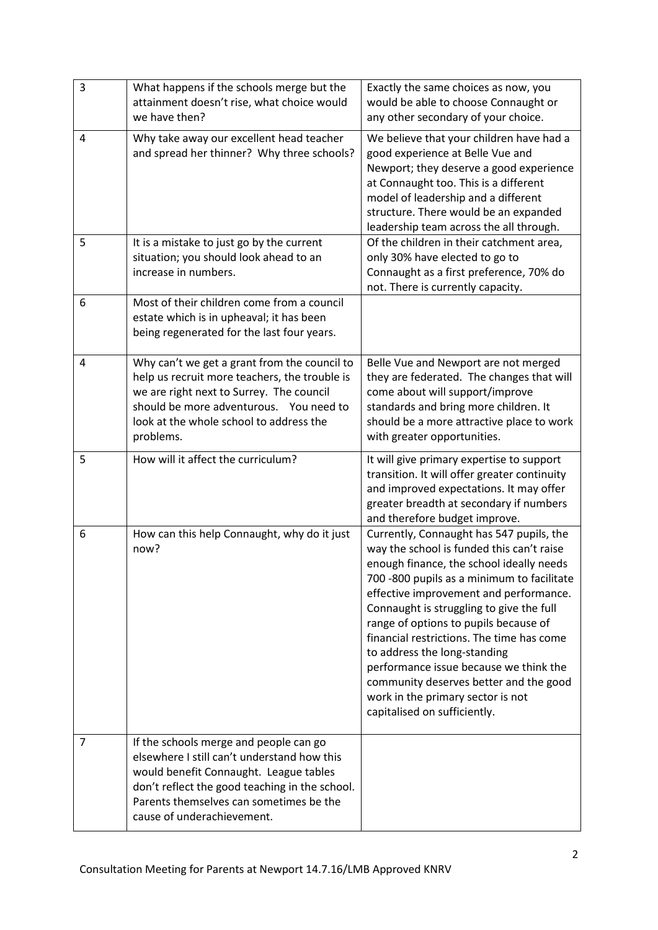| 3              | What happens if the schools merge but the<br>attainment doesn't rise, what choice would<br>we have then?                                                                                                                                                   | Exactly the same choices as now, you<br>would be able to choose Connaught or<br>any other secondary of your choice.                                                                                                                                                                                                                                                                                                                                                                                                                                  |
|----------------|------------------------------------------------------------------------------------------------------------------------------------------------------------------------------------------------------------------------------------------------------------|------------------------------------------------------------------------------------------------------------------------------------------------------------------------------------------------------------------------------------------------------------------------------------------------------------------------------------------------------------------------------------------------------------------------------------------------------------------------------------------------------------------------------------------------------|
| 4              | Why take away our excellent head teacher<br>and spread her thinner? Why three schools?                                                                                                                                                                     | We believe that your children have had a<br>good experience at Belle Vue and<br>Newport; they deserve a good experience<br>at Connaught too. This is a different<br>model of leadership and a different<br>structure. There would be an expanded<br>leadership team across the all through.                                                                                                                                                                                                                                                          |
| 5              | It is a mistake to just go by the current<br>situation; you should look ahead to an<br>increase in numbers.                                                                                                                                                | Of the children in their catchment area,<br>only 30% have elected to go to<br>Connaught as a first preference, 70% do<br>not. There is currently capacity.                                                                                                                                                                                                                                                                                                                                                                                           |
| 6              | Most of their children come from a council<br>estate which is in upheaval; it has been<br>being regenerated for the last four years.                                                                                                                       |                                                                                                                                                                                                                                                                                                                                                                                                                                                                                                                                                      |
| 4              | Why can't we get a grant from the council to<br>help us recruit more teachers, the trouble is<br>we are right next to Surrey. The council<br>should be more adventurous. You need to<br>look at the whole school to address the<br>problems.               | Belle Vue and Newport are not merged<br>they are federated. The changes that will<br>come about will support/improve<br>standards and bring more children. It<br>should be a more attractive place to work<br>with greater opportunities.                                                                                                                                                                                                                                                                                                            |
| 5              | How will it affect the curriculum?                                                                                                                                                                                                                         | It will give primary expertise to support<br>transition. It will offer greater continuity<br>and improved expectations. It may offer<br>greater breadth at secondary if numbers<br>and therefore budget improve.                                                                                                                                                                                                                                                                                                                                     |
| 6              | How can this help Connaught, why do it just<br>now?                                                                                                                                                                                                        | Currently, Connaught has 547 pupils, the<br>way the school is funded this can't raise<br>enough finance, the school ideally needs<br>700 -800 pupils as a minimum to facilitate<br>effective improvement and performance.<br>Connaught is struggling to give the full<br>range of options to pupils because of<br>financial restrictions. The time has come<br>to address the long-standing<br>performance issue because we think the<br>community deserves better and the good<br>work in the primary sector is not<br>capitalised on sufficiently. |
| $\overline{7}$ | If the schools merge and people can go<br>elsewhere I still can't understand how this<br>would benefit Connaught. League tables<br>don't reflect the good teaching in the school.<br>Parents themselves can sometimes be the<br>cause of underachievement. |                                                                                                                                                                                                                                                                                                                                                                                                                                                                                                                                                      |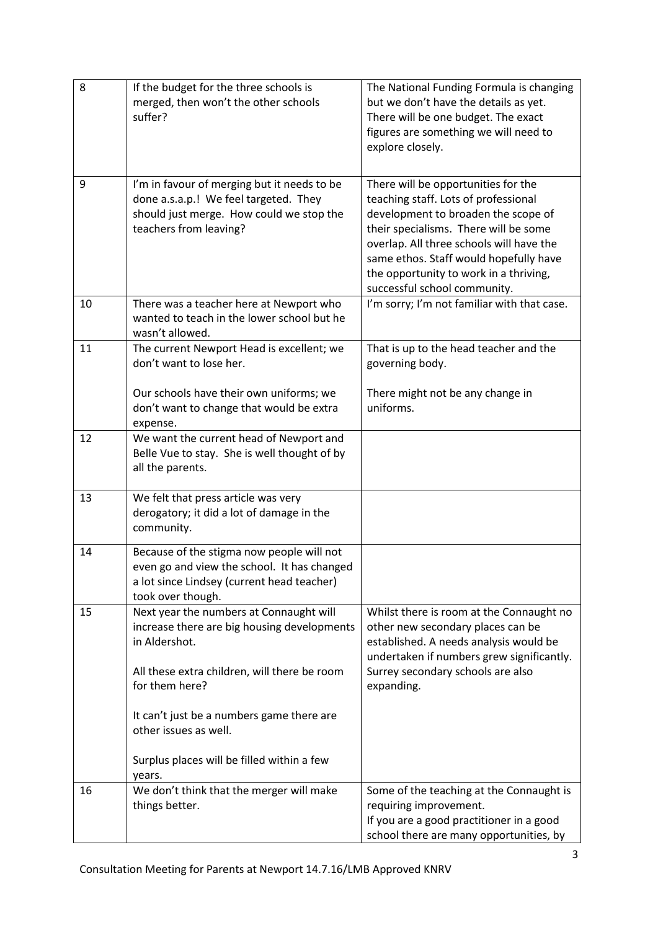| 8  | If the budget for the three schools is<br>merged, then won't the other schools<br>suffer?                                                                   | The National Funding Formula is changing<br>but we don't have the details as yet.<br>There will be one budget. The exact<br>figures are something we will need to<br>explore closely.                                                                                                                                       |
|----|-------------------------------------------------------------------------------------------------------------------------------------------------------------|-----------------------------------------------------------------------------------------------------------------------------------------------------------------------------------------------------------------------------------------------------------------------------------------------------------------------------|
| 9  | I'm in favour of merging but it needs to be<br>done a.s.a.p.! We feel targeted. They<br>should just merge. How could we stop the<br>teachers from leaving?  | There will be opportunities for the<br>teaching staff. Lots of professional<br>development to broaden the scope of<br>their specialisms. There will be some<br>overlap. All three schools will have the<br>same ethos. Staff would hopefully have<br>the opportunity to work in a thriving,<br>successful school community. |
| 10 | There was a teacher here at Newport who<br>wanted to teach in the lower school but he<br>wasn't allowed.                                                    | I'm sorry; I'm not familiar with that case.                                                                                                                                                                                                                                                                                 |
| 11 | The current Newport Head is excellent; we<br>don't want to lose her.                                                                                        | That is up to the head teacher and the<br>governing body.                                                                                                                                                                                                                                                                   |
|    | Our schools have their own uniforms; we<br>don't want to change that would be extra<br>expense.                                                             | There might not be any change in<br>uniforms.                                                                                                                                                                                                                                                                               |
| 12 | We want the current head of Newport and<br>Belle Vue to stay. She is well thought of by<br>all the parents.                                                 |                                                                                                                                                                                                                                                                                                                             |
| 13 | We felt that press article was very<br>derogatory; it did a lot of damage in the<br>community.                                                              |                                                                                                                                                                                                                                                                                                                             |
| 14 | Because of the stigma now people will not<br>even go and view the school. It has changed<br>a lot since Lindsey (current head teacher)<br>took over though. |                                                                                                                                                                                                                                                                                                                             |
| 15 | Next year the numbers at Connaught will<br>increase there are big housing developments<br>in Aldershot.                                                     | Whilst there is room at the Connaught no<br>other new secondary places can be<br>established. A needs analysis would be<br>undertaken if numbers grew significantly.                                                                                                                                                        |
|    | All these extra children, will there be room<br>for them here?                                                                                              | Surrey secondary schools are also<br>expanding.                                                                                                                                                                                                                                                                             |
|    | It can't just be a numbers game there are<br>other issues as well.                                                                                          |                                                                                                                                                                                                                                                                                                                             |
|    | Surplus places will be filled within a few<br>years.                                                                                                        |                                                                                                                                                                                                                                                                                                                             |
| 16 | We don't think that the merger will make<br>things better.                                                                                                  | Some of the teaching at the Connaught is<br>requiring improvement.<br>If you are a good practitioner in a good<br>school there are many opportunities, by                                                                                                                                                                   |